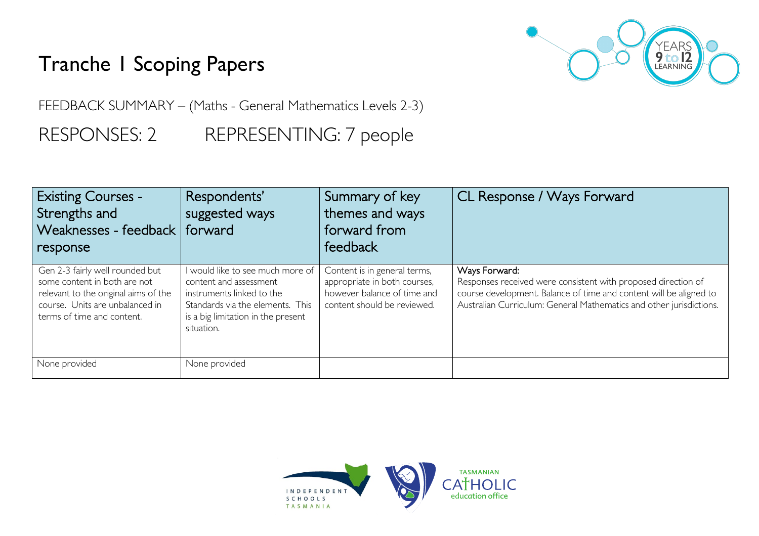## Tranche 1 Scoping Papers



FEEDBACK SUMMARY – (Maths - General Mathematics Levels 2-3)

RESPONSES: 2 REPRESENTING: 7 people

| <b>Existing Courses -</b><br>Strengths and<br>Weaknesses - feedback   forward<br>response                                                                                | Respondents'<br>suggested ways                                                                                                                                                  | Summary of key<br>themes and ways<br>forward from<br>feedback                                                              | CL Response / Ways Forward                                                                                                                                                                                                  |
|--------------------------------------------------------------------------------------------------------------------------------------------------------------------------|---------------------------------------------------------------------------------------------------------------------------------------------------------------------------------|----------------------------------------------------------------------------------------------------------------------------|-----------------------------------------------------------------------------------------------------------------------------------------------------------------------------------------------------------------------------|
| Gen 2-3 fairly well rounded but<br>some content in both are not<br>relevant to the original aims of the<br>course. Units are unbalanced in<br>terms of time and content. | I would like to see much more of<br>content and assessment<br>instruments linked to the<br>Standards via the elements. This<br>is a big limitation in the present<br>situation. | Content is in general terms,<br>appropriate in both courses,<br>however balance of time and<br>content should be reviewed. | Ways Forward:<br>Responses received were consistent with proposed direction of<br>course development. Balance of time and content will be aligned to<br>Australian Curriculum: General Mathematics and other jurisdictions. |
| None provided                                                                                                                                                            | None provided                                                                                                                                                                   |                                                                                                                            |                                                                                                                                                                                                                             |

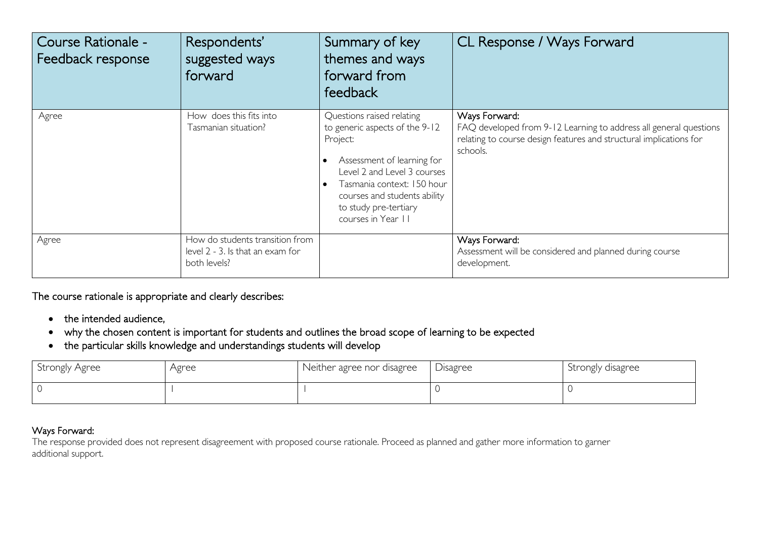| Course Rationale -<br>Feedback response | Respondents'<br>suggested ways<br>forward                                           | Summary of key<br>themes and ways<br>forward from<br>feedback                                                                                                                                                                                     | CL Response / Ways Forward                                                                                                                                           |
|-----------------------------------------|-------------------------------------------------------------------------------------|---------------------------------------------------------------------------------------------------------------------------------------------------------------------------------------------------------------------------------------------------|----------------------------------------------------------------------------------------------------------------------------------------------------------------------|
| Agree                                   | How does this fits into<br>Tasmanian situation?                                     | Questions raised relating<br>to generic aspects of the 9-12<br>Project:<br>Assessment of learning for<br>Level 2 and Level 3 courses<br>Tasmania context: 150 hour<br>courses and students ability<br>to study pre-tertiary<br>courses in Year II | Ways Forward:<br>FAQ developed from 9-12 Learning to address all general questions<br>relating to course design features and structural implications for<br>schools. |
| Agree                                   | How do students transition from<br>level 2 - 3. Is that an exam for<br>both levels? |                                                                                                                                                                                                                                                   | Ways Forward:<br>Assessment will be considered and planned during course<br>development.                                                                             |

The course rationale is appropriate and clearly describes:

- the intended audience,
- why the chosen content is important for students and outlines the broad scope of learning to be expected
- the particular skills knowledge and understandings students will develop

| Strongly Agree | Agree | Neither agree nor disagree | Disagree | Strongly disagree |
|----------------|-------|----------------------------|----------|-------------------|
|                |       |                            |          |                   |

## Ways Forward:

The response provided does not represent disagreement with proposed course rationale. Proceed as planned and gather more information to garner additional support.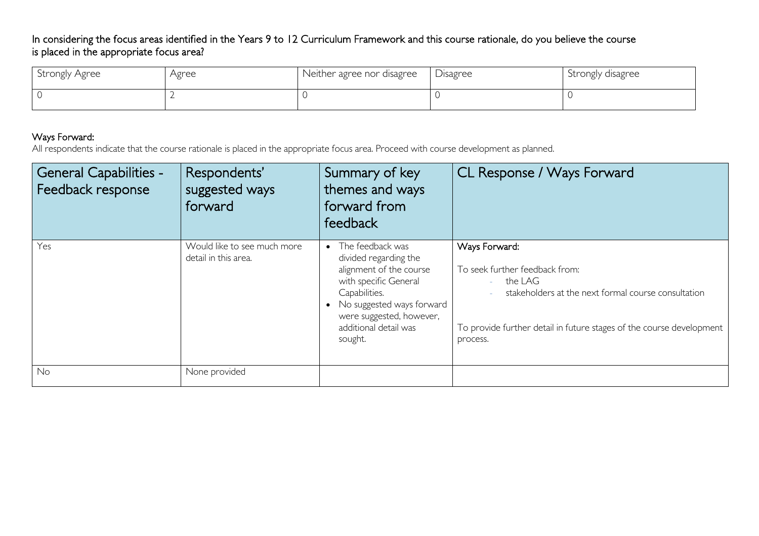## In considering the focus areas identified in the Years 9 to 12 Curriculum Framework and this course rationale, do you believe the course is placed in the appropriate focus area?

| Strongly Agree | Agree | Neither agree nor disagree | <b>Disagree</b> | Strongly disagree |
|----------------|-------|----------------------------|-----------------|-------------------|
|                |       |                            |                 |                   |

## Ways Forward:

All respondents indicate that the course rationale is placed in the appropriate focus area. Proceed with course development as planned.

| <b>General Capabilities -</b><br>Feedback response | Respondents'<br>suggested ways<br>forward           | Summary of key<br>themes and ways<br>forward from<br>feedback                                                                                                                                                 | CL Response / Ways Forward                                                                                                                                                                            |
|----------------------------------------------------|-----------------------------------------------------|---------------------------------------------------------------------------------------------------------------------------------------------------------------------------------------------------------------|-------------------------------------------------------------------------------------------------------------------------------------------------------------------------------------------------------|
| Yes                                                | Would like to see much more<br>detail in this area. | • The feedback was<br>divided regarding the<br>alignment of the course<br>with specific General<br>Capabilities.<br>No suggested ways forward<br>were suggested, however,<br>additional detail was<br>sought. | Ways Forward:<br>To seek further feedback from:<br>the LAG<br>stakeholders at the next formal course consultation<br>To provide further detail in future stages of the course development<br>process. |
| No                                                 | None provided                                       |                                                                                                                                                                                                               |                                                                                                                                                                                                       |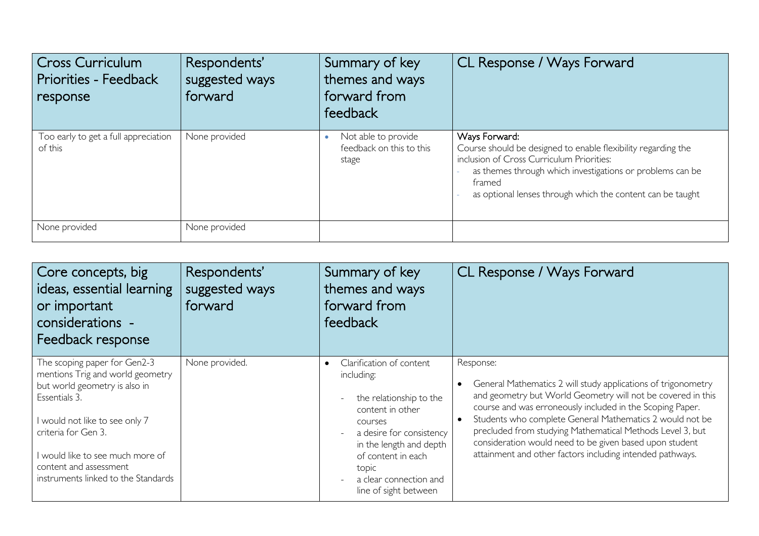| Cross Curriculum<br>Priorities - Feedback<br>response | Respondents'<br>suggested ways<br>forward | Summary of key<br>themes and ways<br>forward from<br>feedback | CL Response / Ways Forward                                                                                                                                                                                                                                       |
|-------------------------------------------------------|-------------------------------------------|---------------------------------------------------------------|------------------------------------------------------------------------------------------------------------------------------------------------------------------------------------------------------------------------------------------------------------------|
| Too early to get a full appreciation<br>of this       | None provided                             | Not able to provide<br>feedback on this to this<br>stage      | Ways Forward:<br>Course should be designed to enable flexibility regarding the<br>inclusion of Cross Curriculum Priorities:<br>as themes through which investigations or problems can be<br>framed<br>as optional lenses through which the content can be taught |
| None provided                                         | None provided                             |                                                               |                                                                                                                                                                                                                                                                  |

| Core concepts, big<br>ideas, essential learning<br>or important<br>considerations -<br>Feedback response                                                                                                                                                                         | Respondents'<br>suggested ways<br>forward | Summary of key<br>themes and ways<br>forward from<br>feedback                                                                                                                                                                                          | CL Response / Ways Forward                                                                                                                                                                                                                                                                                                                                                                                                                              |
|----------------------------------------------------------------------------------------------------------------------------------------------------------------------------------------------------------------------------------------------------------------------------------|-------------------------------------------|--------------------------------------------------------------------------------------------------------------------------------------------------------------------------------------------------------------------------------------------------------|---------------------------------------------------------------------------------------------------------------------------------------------------------------------------------------------------------------------------------------------------------------------------------------------------------------------------------------------------------------------------------------------------------------------------------------------------------|
| The scoping paper for Gen2-3<br>mentions Trig and world geometry<br>but world geometry is also in<br>Essentials 3.<br>I would not like to see only 7<br>criteria for Gen 3.<br>I would like to see much more of<br>content and assessment<br>instruments linked to the Standards | None provided.                            | Clarification of content<br>$\bullet$<br>including:<br>the relationship to the<br>content in other<br>courses<br>a desire for consistency<br>in the length and depth<br>of content in each<br>topic<br>a clear connection and<br>line of sight between | Response:<br>General Mathematics 2 will study applications of trigonometry<br>and geometry but World Geometry will not be covered in this<br>course and was erroneously included in the Scoping Paper.<br>Students who complete General Mathematics 2 would not be<br>precluded from studying Mathematical Methods Level 3, but<br>consideration would need to be given based upon student<br>attainment and other factors including intended pathways. |